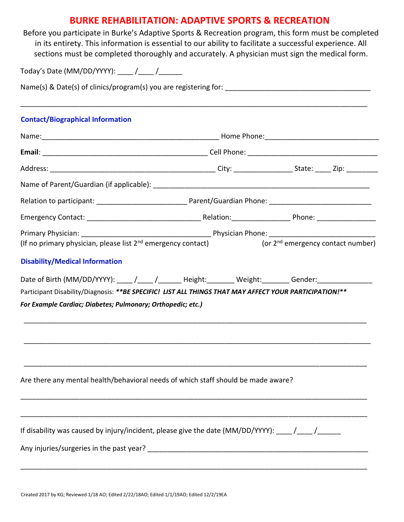## **BURKE REHABILITATION: ADAPTIVE SPORTS & RECREATION**

Before you participate in Burke's Adaptive Sports & Recreation program, this form must be completed in its entirety. This information is essential to our ability to facilitate a successful experience. All sections must be completed thoroughly and accurately. A physician must sign the medical form.

\_\_\_\_\_\_\_\_\_\_\_\_\_\_\_\_\_\_\_\_\_\_\_\_\_\_\_\_\_\_\_\_\_\_\_\_\_\_\_\_\_\_\_\_\_\_\_\_\_\_\_\_\_\_\_\_\_\_\_\_\_\_\_\_\_\_\_\_\_\_\_\_\_\_\_\_\_\_\_\_\_\_\_\_\_\_\_\_

Today's Date (MM/DD/YYYY): \_\_\_\_ /\_\_\_\_ /\_\_\_\_\_\_

Name(s) & Date(s) of clinics/program(s) you are registering for:

### **Contact/Biographical Information**

| (If no primary physician, please list $2^{nd}$ emergency contact) (or $2^{nd}$ emergency contact number)                                                                                                                                                                       |  |  |  |
|--------------------------------------------------------------------------------------------------------------------------------------------------------------------------------------------------------------------------------------------------------------------------------|--|--|--|
| <b>Disability/Medical Information</b>                                                                                                                                                                                                                                          |  |  |  |
| Date of Birth (MM/DD/YYYY): ____ /____ /_____ Height: _______ Weight: Gender: _____________________<br>Participant Disability/Diagnosis: ** BE SPECIFIC! LIST ALL THINGS THAT MAY AFFECT YOUR PARTICIPATION! **<br>For Example Cardiac; Diabetes; Pulmonary; Orthopedic; etc.) |  |  |  |
|                                                                                                                                                                                                                                                                                |  |  |  |
|                                                                                                                                                                                                                                                                                |  |  |  |
| Are there any mental health/behavioral needs of which staff should be made aware?                                                                                                                                                                                              |  |  |  |
|                                                                                                                                                                                                                                                                                |  |  |  |
| If disability was caused by injury/incident, please give the date (MM/DD/YYYY): ____ /____ /_______                                                                                                                                                                            |  |  |  |
|                                                                                                                                                                                                                                                                                |  |  |  |
|                                                                                                                                                                                                                                                                                |  |  |  |

Created 2017 by KG; Reviewed 1/18 AO; Edited 2/22/18AO; Edited 1/1/19AO; Edited 12/2/19EA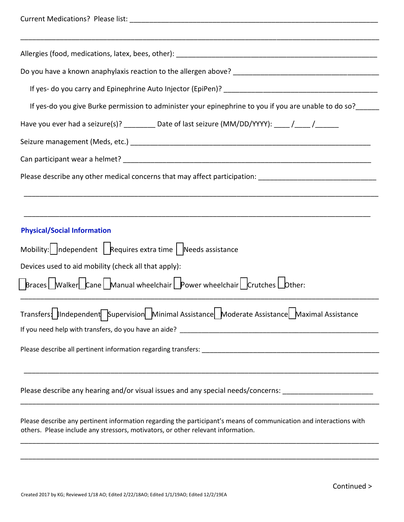| If yes-do you give Burke permission to administer your epinephrine to you if you are unable to do so?______                                                                                            |  |  |
|--------------------------------------------------------------------------------------------------------------------------------------------------------------------------------------------------------|--|--|
| Have you ever had a seizure(s)? ____________ Date of last seizure (MM/DD/YYYY): _____/_____/________                                                                                                   |  |  |
|                                                                                                                                                                                                        |  |  |
|                                                                                                                                                                                                        |  |  |
| Please describe any other medical concerns that may affect participation: ___________________________________                                                                                          |  |  |
|                                                                                                                                                                                                        |  |  |
|                                                                                                                                                                                                        |  |  |
| <b>Physical/Social Information</b>                                                                                                                                                                     |  |  |
| Mobility: $\lceil$ ndependent $\lceil$ Requires extra time $\lceil$ Needs assistance                                                                                                                   |  |  |
| Devices used to aid mobility (check all that apply):                                                                                                                                                   |  |  |
| <b>F</b> Braces Walker Cane Manual wheelchair Power wheelchair Crutches bther:                                                                                                                         |  |  |
| Transfers. Independent Supervision Minimal Assistance Moderate Assistance Maximal Assistance                                                                                                           |  |  |
|                                                                                                                                                                                                        |  |  |
|                                                                                                                                                                                                        |  |  |
|                                                                                                                                                                                                        |  |  |
| Please describe any hearing and/or visual issues and any special needs/concerns: _________________________                                                                                             |  |  |
| Please describe any pertinent information regarding the participant's means of communication and interactions with<br>others. Please include any stressors, motivators, or other relevant information. |  |  |
|                                                                                                                                                                                                        |  |  |

\_\_\_\_\_\_\_\_\_\_\_\_\_\_\_\_\_\_\_\_\_\_\_\_\_\_\_\_\_\_\_\_\_\_\_\_\_\_\_\_\_\_\_\_\_\_\_\_\_\_\_\_\_\_\_\_\_\_\_\_\_\_\_\_\_\_\_\_\_\_\_\_\_\_\_\_\_\_\_\_\_\_\_\_\_\_\_\_\_\_\_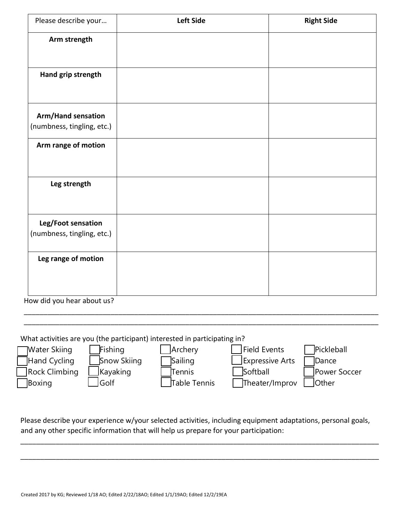| Please describe your       | Left Side | <b>Right Side</b> |
|----------------------------|-----------|-------------------|
| Arm strength               |           |                   |
|                            |           |                   |
| Hand grip strength         |           |                   |
|                            |           |                   |
| <b>Arm/Hand sensation</b>  |           |                   |
| (numbness, tingling, etc.) |           |                   |
| Arm range of motion        |           |                   |
|                            |           |                   |
| Leg strength               |           |                   |
|                            |           |                   |
| Leg/Foot sensation         |           |                   |
| (numbness, tingling, etc.) |           |                   |
| Leg range of motion        |           |                   |
|                            |           |                   |
|                            |           |                   |

How did you hear about us?

What activities are you (the participant) interested in participating in?



\_\_\_\_\_\_\_\_\_\_\_\_\_\_\_\_\_\_\_\_\_\_\_\_\_\_\_\_\_\_\_\_\_\_\_\_\_\_\_\_\_\_\_\_\_\_\_\_\_\_\_\_\_\_\_\_\_\_\_\_\_\_\_\_\_\_\_\_\_\_\_\_\_\_\_\_\_\_\_\_\_\_\_\_\_\_\_\_\_\_ \_\_\_\_\_\_\_\_\_\_\_\_\_\_\_\_\_\_\_\_\_\_\_\_\_\_\_\_\_\_\_\_\_\_\_\_\_\_\_\_\_\_\_\_\_\_\_\_\_\_\_\_\_\_\_\_\_\_\_\_\_\_\_\_\_\_\_\_\_\_\_\_\_\_\_\_\_\_\_\_\_\_\_\_\_\_\_\_\_\_

Please describe your experience w/your selected activities, including equipment adaptations, personal goals, and any other specific information that will help us prepare for your participation:

\_\_\_\_\_\_\_\_\_\_\_\_\_\_\_\_\_\_\_\_\_\_\_\_\_\_\_\_\_\_\_\_\_\_\_\_\_\_\_\_\_\_\_\_\_\_\_\_\_\_\_\_\_\_\_\_\_\_\_\_\_\_\_\_\_\_\_\_\_\_\_\_\_\_\_\_\_\_\_\_\_\_\_\_\_\_\_\_\_\_\_

\_\_\_\_\_\_\_\_\_\_\_\_\_\_\_\_\_\_\_\_\_\_\_\_\_\_\_\_\_\_\_\_\_\_\_\_\_\_\_\_\_\_\_\_\_\_\_\_\_\_\_\_\_\_\_\_\_\_\_\_\_\_\_\_\_\_\_\_\_\_\_\_\_\_\_\_\_\_\_\_\_\_\_\_\_\_\_\_\_\_\_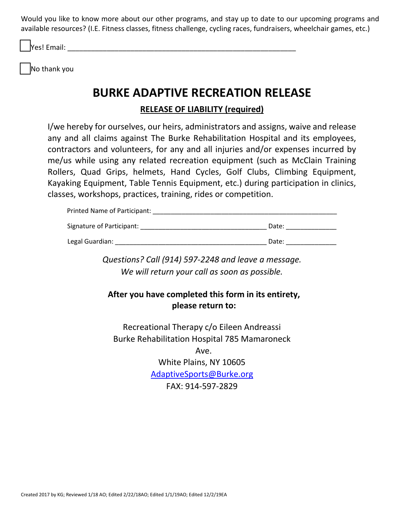Would you like to know more about our other programs, and stay up to date to our upcoming programs and available resources? (I.E. Fitness classes, fitness challenge, cycling races, fundraisers, wheelchair games, etc.)

 $\sqrt{2}$  Pres! Email:

No thank you

# **BURKE ADAPTIVE RECREATION RELEASE**

#### **RELEASE OF LIABILITY (required)**

I/we hereby for ourselves, our heirs, administrators and assigns, waive and release any and all claims against The Burke Rehabilitation Hospital and its employees, contractors and volunteers, for any and all injuries and/or expenses incurred by me/us while using any related recreation equipment (such as McClain Training Rollers, Quad Grips, helmets, Hand Cycles, Golf Clubs, Climbing Equipment, Kayaking Equipment, Table Tennis Equipment, etc.) during participation in clinics, classes, workshops, practices, training, rides or competition.

| Printed Name of Participant: |       |
|------------------------------|-------|
| Signature of Participant:    | Date: |
| Legal Guardian:              | Date: |

*Questions? Call (914) 597-2248 and leave a message. We will return your call as soon as possible.* 

# **After you have completed this form in its entirety, please return to:**

Recreational Therapy c/o Eileen Andreassi Burke Rehabilitation Hospital 785 Mamaroneck Ave. White Plains, NY 10605 AdaptiveSports@Burke.org FAX: 914-597-2829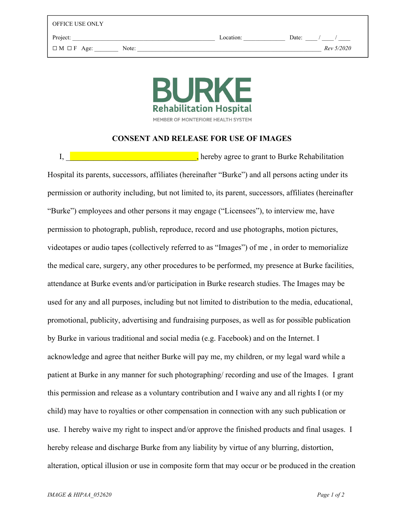| <b>OFFICE USE ONLY</b>               |           |            |
|--------------------------------------|-----------|------------|
| Project:                             | Location: | Date:      |
| $\Box M \Box F \text{Age:}$<br>Note: |           | Rev 5/2020 |



#### **CONSENT AND RELEASE FOR USE OF IMAGES**

I, **Example 2.1 The Example 2.1 The Example 2.1** hereby agree to grant to Burke Rehabilitation Hospital its parents, successors, affiliates (hereinafter "Burke") and all persons acting under its permission or authority including, but not limited to, its parent, successors, affiliates (hereinafter "Burke") employees and other persons it may engage ("Licensees"), to interview me, have permission to photograph, publish, reproduce, record and use photographs, motion pictures, videotapes or audio tapes (collectively referred to as "Images") of me , in order to memorialize the medical care, surgery, any other procedures to be performed, my presence at Burke facilities, attendance at Burke events and/or participation in Burke research studies. The Images may be used for any and all purposes, including but not limited to distribution to the media, educational, promotional, publicity, advertising and fundraising purposes, as well as for possible publication by Burke in various traditional and social media (e.g. Facebook) and on the Internet. I acknowledge and agree that neither Burke will pay me, my children, or my legal ward while a patient at Burke in any manner for such photographing/ recording and use of the Images. I grant this permission and release as a voluntary contribution and I waive any and all rights I (or my child) may have to royalties or other compensation in connection with any such publication or use. I hereby waive my right to inspect and/or approve the finished products and final usages. I hereby release and discharge Burke from any liability by virtue of any blurring, distortion, alteration, optical illusion or use in composite form that may occur or be produced in the creation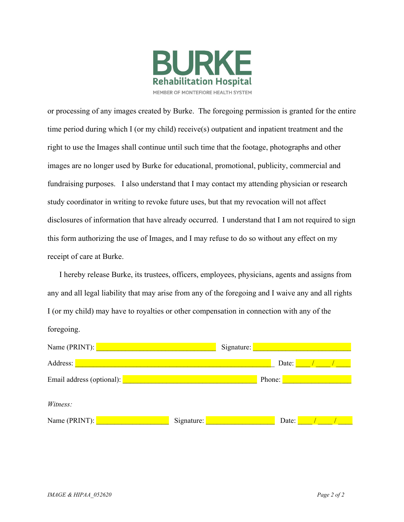

or processing of any images created by Burke. The foregoing permission is granted for the entire time period during which I (or my child) receive(s) outpatient and inpatient treatment and the right to use the Images shall continue until such time that the footage, photographs and other images are no longer used by Burke for educational, promotional, publicity, commercial and fundraising purposes. I also understand that I may contact my attending physician or research study coordinator in writing to revoke future uses, but that my revocation will not affect disclosures of information that have already occurred. I understand that I am not required to sign this form authorizing the use of Images, and I may refuse to do so without any effect on my receipt of care at Burke.

 I hereby release Burke, its trustees, officers, employees, physicians, agents and assigns from any and all legal liability that may arise from any of the foregoing and I waive any and all rights I (or my child) may have to royalties or other compensation in connection with any of the foregoing.